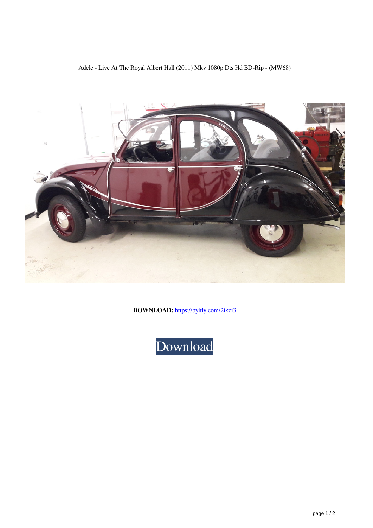## Adele - Live At The Royal Albert Hall (2011) Mkv 1080p Dts Hd BD-Rip - (MW68)



**DOWNLOAD:** <https://byltly.com/2ikci3>